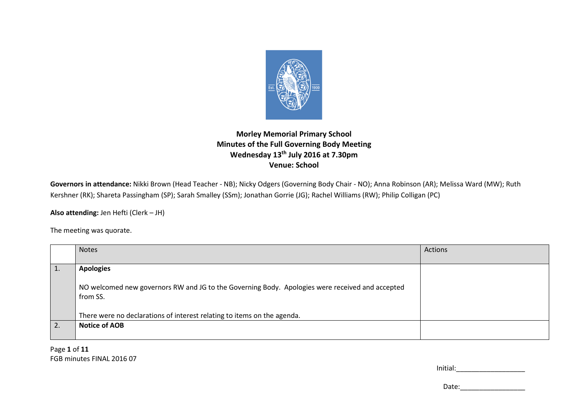

## **Morley Memorial Primary School Minutes of the Full Governing Body Meeting Wednesday 13th July 2016 at 7.30pm Venue: School**

**Governors in attendance:** Nikki Brown (Head Teacher - NB); Nicky Odgers (Governing Body Chair - NO); Anna Robinson (AR); Melissa Ward (MW); Ruth Kershner (RK); Shareta Passingham (SP); Sarah Smalley (SSm); Jonathan Gorrie (JG); Rachel Williams (RW); Philip Colligan (PC)

**Also attending:** Jen Hefti (Clerk – JH)

The meeting was quorate.

| <b>Notes</b>                                                                                    | Actions |
|-------------------------------------------------------------------------------------------------|---------|
|                                                                                                 |         |
| <b>Apologies</b>                                                                                |         |
|                                                                                                 |         |
| NO welcomed new governors RW and JG to the Governing Body. Apologies were received and accepted |         |
| from SS.                                                                                        |         |
|                                                                                                 |         |
| There were no declarations of interest relating to items on the agenda.                         |         |
| <b>Notice of AOB</b>                                                                            |         |
|                                                                                                 |         |

Page **1** of **11**FGB minutes FINAL 2016 07

| Initial: |  |  |  |
|----------|--|--|--|
|          |  |  |  |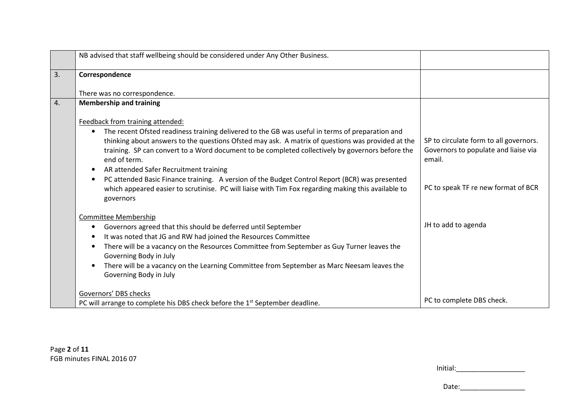|    | NB advised that staff wellbeing should be considered under Any Other Business.                                                                                                                                                                                                                                                                                                                                                                                                                                                                                                                                                  |                                                                                                                                 |
|----|---------------------------------------------------------------------------------------------------------------------------------------------------------------------------------------------------------------------------------------------------------------------------------------------------------------------------------------------------------------------------------------------------------------------------------------------------------------------------------------------------------------------------------------------------------------------------------------------------------------------------------|---------------------------------------------------------------------------------------------------------------------------------|
| 3. | Correspondence                                                                                                                                                                                                                                                                                                                                                                                                                                                                                                                                                                                                                  |                                                                                                                                 |
|    | There was no correspondence.                                                                                                                                                                                                                                                                                                                                                                                                                                                                                                                                                                                                    |                                                                                                                                 |
| 4. | <b>Membership and training</b>                                                                                                                                                                                                                                                                                                                                                                                                                                                                                                                                                                                                  |                                                                                                                                 |
|    | Feedback from training attended:                                                                                                                                                                                                                                                                                                                                                                                                                                                                                                                                                                                                |                                                                                                                                 |
|    | The recent Ofsted readiness training delivered to the GB was useful in terms of preparation and<br>$\bullet$<br>thinking about answers to the questions Ofsted may ask. A matrix of questions was provided at the<br>training. SP can convert to a Word document to be completed collectively by governors before the<br>end of term.<br>AR attended Safer Recruitment training<br>$\bullet$<br>PC attended Basic Finance training. A version of the Budget Control Report (BCR) was presented<br>$\bullet$<br>which appeared easier to scrutinise. PC will liaise with Tim Fox regarding making this available to<br>governors | SP to circulate form to all governors.<br>Governors to populate and liaise via<br>email.<br>PC to speak TF re new format of BCR |
|    | <b>Committee Membership</b><br>Governors agreed that this should be deferred until September<br>$\bullet$<br>It was noted that JG and RW had joined the Resources Committee<br>There will be a vacancy on the Resources Committee from September as Guy Turner leaves the<br>٠<br>Governing Body in July<br>There will be a vacancy on the Learning Committee from September as Marc Neesam leaves the<br>$\bullet$<br>Governing Body in July                                                                                                                                                                                   | JH to add to agenda                                                                                                             |
|    | Governors' DBS checks<br>PC will arrange to complete his DBS check before the $1st$ September deadline.                                                                                                                                                                                                                                                                                                                                                                                                                                                                                                                         | PC to complete DBS check.                                                                                                       |

| Initial: |  |  |
|----------|--|--|
|          |  |  |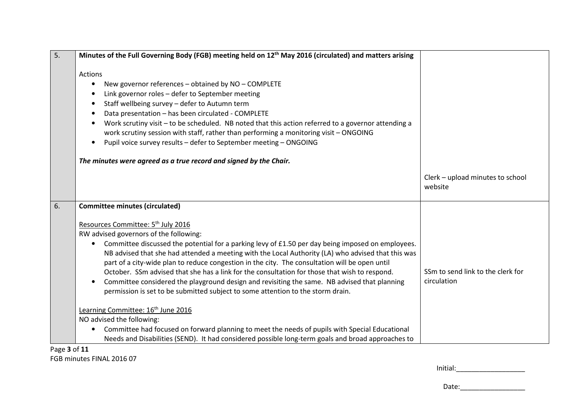| 5. | Minutes of the Full Governing Body (FGB) meeting held on 12 <sup>th</sup> May 2016 (circulated) and matters arising                                                                                                                                                                                                                                                                                                                                                                                                                                                                                                                                       |                                                  |
|----|-----------------------------------------------------------------------------------------------------------------------------------------------------------------------------------------------------------------------------------------------------------------------------------------------------------------------------------------------------------------------------------------------------------------------------------------------------------------------------------------------------------------------------------------------------------------------------------------------------------------------------------------------------------|--------------------------------------------------|
|    | Actions<br>New governor references - obtained by NO - COMPLETE<br>$\bullet$                                                                                                                                                                                                                                                                                                                                                                                                                                                                                                                                                                               |                                                  |
|    | Link governor roles - defer to September meeting<br>$\bullet$<br>Staff wellbeing survey - defer to Autumn term<br>$\bullet$<br>Data presentation - has been circulated - COMPLETE<br>$\bullet$                                                                                                                                                                                                                                                                                                                                                                                                                                                            |                                                  |
|    | Work scrutiny visit - to be scheduled. NB noted that this action referred to a governor attending a<br>$\bullet$<br>work scrutiny session with staff, rather than performing a monitoring visit - ONGOING<br>Pupil voice survey results - defer to September meeting - ONGOING<br>$\bullet$                                                                                                                                                                                                                                                                                                                                                               |                                                  |
|    | The minutes were agreed as a true record and signed by the Chair.                                                                                                                                                                                                                                                                                                                                                                                                                                                                                                                                                                                         |                                                  |
|    |                                                                                                                                                                                                                                                                                                                                                                                                                                                                                                                                                                                                                                                           | Clerk - upload minutes to school<br>website      |
| 6. | <b>Committee minutes (circulated)</b>                                                                                                                                                                                                                                                                                                                                                                                                                                                                                                                                                                                                                     |                                                  |
|    | Resources Committee: 5 <sup>th</sup> July 2016                                                                                                                                                                                                                                                                                                                                                                                                                                                                                                                                                                                                            |                                                  |
|    | RW advised governors of the following:<br>Committee discussed the potential for a parking levy of £1.50 per day being imposed on employees.<br>٠<br>NB advised that she had attended a meeting with the Local Authority (LA) who advised that this was<br>part of a city-wide plan to reduce congestion in the city. The consultation will be open until<br>October. SSm advised that she has a link for the consultation for those that wish to respond.<br>Committee considered the playground design and revisiting the same. NB advised that planning<br>$\bullet$<br>permission is set to be submitted subject to some attention to the storm drain. | SSm to send link to the clerk for<br>circulation |
|    | Learning Committee: 16 <sup>th</sup> June 2016<br>NO advised the following:                                                                                                                                                                                                                                                                                                                                                                                                                                                                                                                                                                               |                                                  |
|    | Committee had focused on forward planning to meet the needs of pupils with Special Educational<br>$\bullet$<br>Needs and Disabilities (SEND). It had considered possible long-term goals and broad approaches to                                                                                                                                                                                                                                                                                                                                                                                                                                          |                                                  |

Page **3** of **11**FGB minutes FINAL 2016 07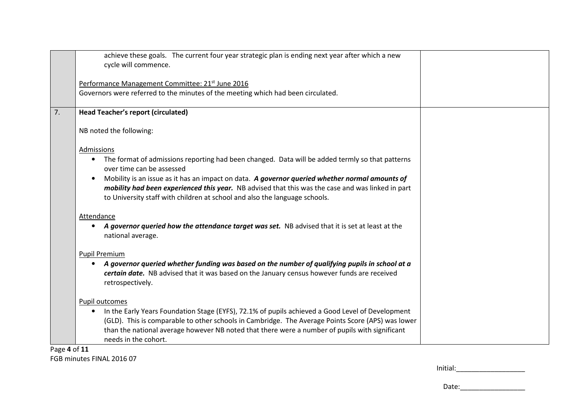|                                     | achieve these goals. The current four year strategic plan is ending next year after which a new<br>cycle will commence.                                                                                                                                                                                                                                                                                                                                   |  |
|-------------------------------------|-----------------------------------------------------------------------------------------------------------------------------------------------------------------------------------------------------------------------------------------------------------------------------------------------------------------------------------------------------------------------------------------------------------------------------------------------------------|--|
|                                     | Performance Management Committee: 21 <sup>st</sup> June 2016<br>Governors were referred to the minutes of the meeting which had been circulated.                                                                                                                                                                                                                                                                                                          |  |
| 7.                                  | <b>Head Teacher's report (circulated)</b>                                                                                                                                                                                                                                                                                                                                                                                                                 |  |
|                                     | NB noted the following:                                                                                                                                                                                                                                                                                                                                                                                                                                   |  |
|                                     | Admissions<br>The format of admissions reporting had been changed. Data will be added termly so that patterns<br>$\bullet$<br>over time can be assessed<br>Mobility is an issue as it has an impact on data. A governor queried whether normal amounts of<br>$\bullet$<br>mobility had been experienced this year. NB advised that this was the case and was linked in part<br>to University staff with children at school and also the language schools. |  |
|                                     | Attendance<br>A governor queried how the attendance target was set. NB advised that it is set at least at the<br>national average.                                                                                                                                                                                                                                                                                                                        |  |
|                                     | Pupil Premium                                                                                                                                                                                                                                                                                                                                                                                                                                             |  |
|                                     | A governor queried whether funding was based on the number of qualifying pupils in school at a<br>$\bullet$<br>certain date. NB advised that it was based on the January census however funds are received<br>retrospectively.                                                                                                                                                                                                                            |  |
|                                     | Pupil outcomes<br>In the Early Years Foundation Stage (EYFS), 72.1% of pupils achieved a Good Level of Development<br>$\bullet$                                                                                                                                                                                                                                                                                                                           |  |
| $D \cdot \sigma \circ A \circ f 11$ | (GLD). This is comparable to other schools in Cambridge. The Average Points Score (APS) was lower<br>than the national average however NB noted that there were a number of pupils with significant<br>needs in the cohort.                                                                                                                                                                                                                               |  |

Page **4** of **11**FGB minutes FINAL 2016 07

| Initial: |  |  |
|----------|--|--|
|          |  |  |
|          |  |  |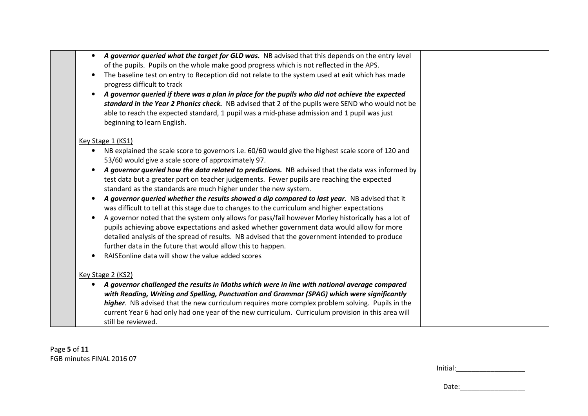| A governor queried what the target for GLD was. NB advised that this depends on the entry level<br>$\bullet$<br>of the pupils. Pupils on the whole make good progress which is not reflected in the APS.<br>The baseline test on entry to Reception did not relate to the system used at exit which has made<br>$\bullet$<br>progress difficult to track<br>A governor queried if there was a plan in place for the pupils who did not achieve the expected<br>$\bullet$<br>standard in the Year 2 Phonics check. NB advised that 2 of the pupils were SEND who would not be<br>able to reach the expected standard, 1 pupil was a mid-phase admission and 1 pupil was just                                                                                                                                                                                                                                                                                                                                                                                 |  |
|-------------------------------------------------------------------------------------------------------------------------------------------------------------------------------------------------------------------------------------------------------------------------------------------------------------------------------------------------------------------------------------------------------------------------------------------------------------------------------------------------------------------------------------------------------------------------------------------------------------------------------------------------------------------------------------------------------------------------------------------------------------------------------------------------------------------------------------------------------------------------------------------------------------------------------------------------------------------------------------------------------------------------------------------------------------|--|
| beginning to learn English.<br>Key Stage 1 (KS1)                                                                                                                                                                                                                                                                                                                                                                                                                                                                                                                                                                                                                                                                                                                                                                                                                                                                                                                                                                                                            |  |
| NB explained the scale score to governors i.e. 60/60 would give the highest scale score of 120 and<br>53/60 would give a scale score of approximately 97.<br>A governor queried how the data related to predictions. NB advised that the data was informed by<br>test data but a greater part on teacher judgements. Fewer pupils are reaching the expected<br>standard as the standards are much higher under the new system.<br>A governor queried whether the results showed a dip compared to last year. NB advised that it<br>was difficult to tell at this stage due to changes to the curriculum and higher expectations<br>A governor noted that the system only allows for pass/fail however Morley historically has a lot of<br>pupils achieving above expectations and asked whether government data would allow for more<br>detailed analysis of the spread of results. NB advised that the government intended to produce<br>further data in the future that would allow this to happen.<br>RAISE online data will show the value added scores |  |
| Key Stage 2 (KS2)<br>A governor challenged the results in Maths which were in line with national average compared<br>with Reading, Writing and Spelling, Punctuation and Grammar (SPAG) which were significantly<br>higher. NB advised that the new curriculum requires more complex problem solving. Pupils in the<br>current Year 6 had only had one year of the new curriculum. Curriculum provision in this area will<br>still be reviewed.                                                                                                                                                                                                                                                                                                                                                                                                                                                                                                                                                                                                             |  |

Page **5** of **11**FGB minutes FINAL 2016 07

| Initial: |
|----------|
|          |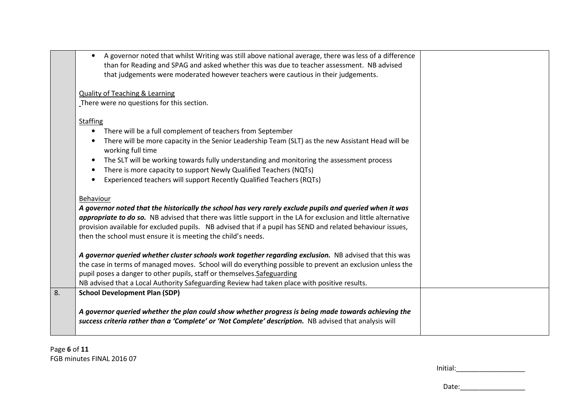|    | A governor noted that whilst Writing was still above national average, there was less of a difference<br>$\bullet$<br>than for Reading and SPAG and asked whether this was due to teacher assessment. NB advised<br>that judgements were moderated however teachers were cautious in their judgements.                                                                                                               |  |
|----|----------------------------------------------------------------------------------------------------------------------------------------------------------------------------------------------------------------------------------------------------------------------------------------------------------------------------------------------------------------------------------------------------------------------|--|
|    | <b>Quality of Teaching &amp; Learning</b>                                                                                                                                                                                                                                                                                                                                                                            |  |
|    | There were no questions for this section.                                                                                                                                                                                                                                                                                                                                                                            |  |
|    | Staffing                                                                                                                                                                                                                                                                                                                                                                                                             |  |
|    | There will be a full complement of teachers from September                                                                                                                                                                                                                                                                                                                                                           |  |
|    | There will be more capacity in the Senior Leadership Team (SLT) as the new Assistant Head will be<br>working full time                                                                                                                                                                                                                                                                                               |  |
|    | The SLT will be working towards fully understanding and monitoring the assessment process<br>$\bullet$                                                                                                                                                                                                                                                                                                               |  |
|    | There is more capacity to support Newly Qualified Teachers (NQTs)<br>$\bullet$                                                                                                                                                                                                                                                                                                                                       |  |
|    | Experienced teachers will support Recently Qualified Teachers (RQTs)                                                                                                                                                                                                                                                                                                                                                 |  |
|    | Behaviour<br>A governor noted that the historically the school has very rarely exclude pupils and queried when it was<br>appropriate to do so. NB advised that there was little support in the LA for exclusion and little alternative<br>provision available for excluded pupils. NB advised that if a pupil has SEND and related behaviour issues,<br>then the school must ensure it is meeting the child's needs. |  |
|    | A governor queried whether cluster schools work together regarding exclusion. NB advised that this was                                                                                                                                                                                                                                                                                                               |  |
|    | the case in terms of managed moves. School will do everything possible to prevent an exclusion unless the                                                                                                                                                                                                                                                                                                            |  |
|    | pupil poses a danger to other pupils, staff or themselves. Safeguarding                                                                                                                                                                                                                                                                                                                                              |  |
|    | NB advised that a Local Authority Safeguarding Review had taken place with positive results.                                                                                                                                                                                                                                                                                                                         |  |
| 8. | <b>School Development Plan (SDP)</b>                                                                                                                                                                                                                                                                                                                                                                                 |  |
|    | A governor queried whether the plan could show whether progress is being made towards achieving the<br>success criteria rather than a 'Complete' or 'Not Complete' description. NB advised that analysis will                                                                                                                                                                                                        |  |

| Initial: |  |  |  |
|----------|--|--|--|
|          |  |  |  |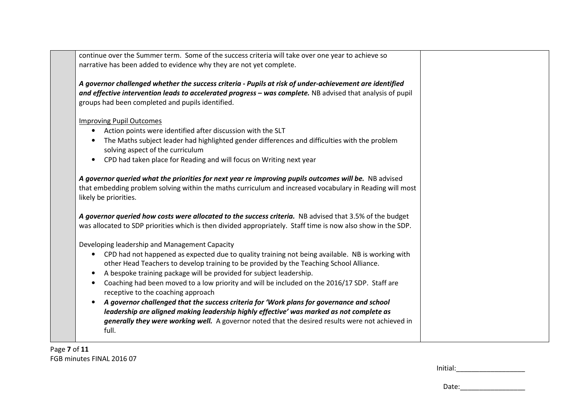|           | continue over the Summer term. Some of the success criteria will take over one year to achieve so<br>narrative has been added to evidence why they are not yet complete.                                                                                                                  |  |
|-----------|-------------------------------------------------------------------------------------------------------------------------------------------------------------------------------------------------------------------------------------------------------------------------------------------|--|
|           | A governor challenged whether the success criteria - Pupils at risk of under-achievement are identified<br>and effective intervention leads to accelerated progress - was complete. NB advised that analysis of pupil<br>groups had been completed and pupils identified.                 |  |
|           | <b>Improving Pupil Outcomes</b>                                                                                                                                                                                                                                                           |  |
| $\bullet$ | Action points were identified after discussion with the SLT                                                                                                                                                                                                                               |  |
| $\bullet$ | The Maths subject leader had highlighted gender differences and difficulties with the problem<br>solving aspect of the curriculum                                                                                                                                                         |  |
| $\bullet$ | CPD had taken place for Reading and will focus on Writing next year                                                                                                                                                                                                                       |  |
|           | likely be priorities.<br>A governor queried how costs were allocated to the success criteria. NB advised that 3.5% of the budget<br>was allocated to SDP priorities which is then divided appropriately. Staff time is now also show in the SDP.                                          |  |
|           | Developing leadership and Management Capacity                                                                                                                                                                                                                                             |  |
| $\bullet$ | CPD had not happened as expected due to quality training not being available. NB is working with<br>other Head Teachers to develop training to be provided by the Teaching School Alliance.                                                                                               |  |
| $\bullet$ | A bespoke training package will be provided for subject leadership.                                                                                                                                                                                                                       |  |
| $\bullet$ | Coaching had been moved to a low priority and will be included on the 2016/17 SDP. Staff are                                                                                                                                                                                              |  |
|           | receptive to the coaching approach                                                                                                                                                                                                                                                        |  |
|           | A governor challenged that the success criteria for 'Work plans for governance and school<br>leadership are aligned making leadership highly effective' was marked as not complete as<br>generally they were working well. A governor noted that the desired results were not achieved in |  |

Page **7** of **11**FGB minutes FINAL 2016 07

| Initial: |  |  |  |
|----------|--|--|--|
|          |  |  |  |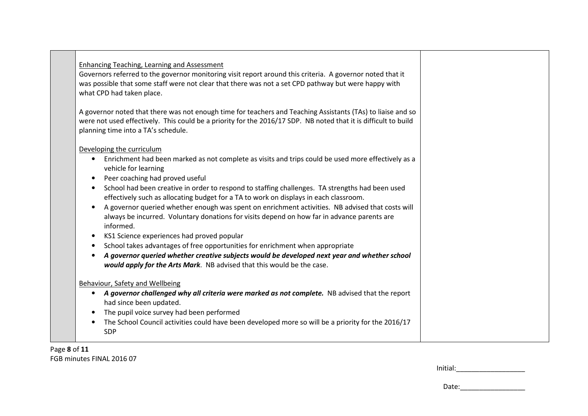|                        | <b>Enhancing Teaching, Learning and Assessment</b><br>Governors referred to the governor monitoring visit report around this criteria. A governor noted that it<br>was possible that some staff were not clear that there was not a set CPD pathway but were happy with<br>what CPD had taken place. |  |
|------------------------|------------------------------------------------------------------------------------------------------------------------------------------------------------------------------------------------------------------------------------------------------------------------------------------------------|--|
|                        | A governor noted that there was not enough time for teachers and Teaching Assistants (TAs) to liaise and so<br>were not used effectively. This could be a priority for the 2016/17 SDP. NB noted that it is difficult to build<br>planning time into a TA's schedule.                                |  |
|                        | Developing the curriculum                                                                                                                                                                                                                                                                            |  |
| $\bullet$              | Enrichment had been marked as not complete as visits and trips could be used more effectively as a<br>vehicle for learning                                                                                                                                                                           |  |
| $\bullet$<br>$\bullet$ | Peer coaching had proved useful<br>School had been creative in order to respond to staffing challenges. TA strengths had been used                                                                                                                                                                   |  |
|                        | effectively such as allocating budget for a TA to work on displays in each classroom.                                                                                                                                                                                                                |  |
| $\bullet$              | A governor queried whether enough was spent on enrichment activities. NB advised that costs will<br>always be incurred. Voluntary donations for visits depend on how far in advance parents are<br>informed.                                                                                         |  |
| $\bullet$              | KS1 Science experiences had proved popular                                                                                                                                                                                                                                                           |  |
| $\bullet$              | School takes advantages of free opportunities for enrichment when appropriate                                                                                                                                                                                                                        |  |
|                        | A governor queried whether creative subjects would be developed next year and whether school<br>would apply for the Arts Mark. NB advised that this would be the case.                                                                                                                               |  |
|                        | <b>Behaviour, Safety and Wellbeing</b>                                                                                                                                                                                                                                                               |  |
|                        | • A governor challenged why all criteria were marked as not complete. NB advised that the report<br>had since been updated.                                                                                                                                                                          |  |
| $\bullet$              | The pupil voice survey had been performed                                                                                                                                                                                                                                                            |  |
| $\bullet$              | The School Council activities could have been developed more so will be a priority for the 2016/17<br><b>SDP</b>                                                                                                                                                                                     |  |

Page **8** of **11**FGB minutes FINAL 2016 07

| Initial: |  |  |  |
|----------|--|--|--|
|          |  |  |  |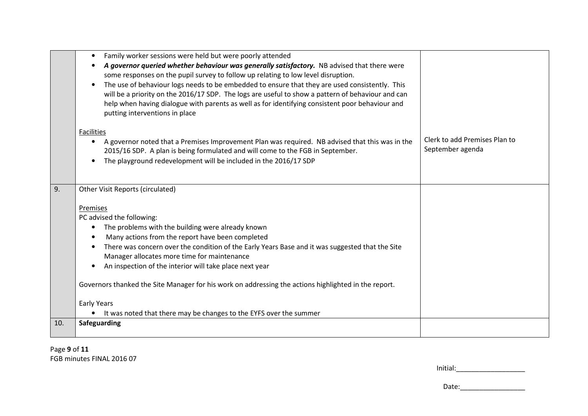|     | Family worker sessions were held but were poorly attended<br>$\bullet$<br>A governor queried whether behaviour was generally satisfactory. NB advised that there were<br>some responses on the pupil survey to follow up relating to low level disruption.<br>The use of behaviour logs needs to be embedded to ensure that they are used consistently. This<br>will be a priority on the 2016/17 SDP. The logs are useful to show a pattern of behaviour and can<br>help when having dialogue with parents as well as for identifying consistent poor behaviour and                                             |                                                   |
|-----|------------------------------------------------------------------------------------------------------------------------------------------------------------------------------------------------------------------------------------------------------------------------------------------------------------------------------------------------------------------------------------------------------------------------------------------------------------------------------------------------------------------------------------------------------------------------------------------------------------------|---------------------------------------------------|
|     | putting interventions in place<br><b>Facilities</b><br>A governor noted that a Premises Improvement Plan was required. NB advised that this was in the<br>$\bullet$<br>2015/16 SDP. A plan is being formulated and will come to the FGB in September.<br>The playground redevelopment will be included in the 2016/17 SDP<br>$\bullet$                                                                                                                                                                                                                                                                           | Clerk to add Premises Plan to<br>September agenda |
| 9.  | Other Visit Reports (circulated)<br><b>Premises</b><br>PC advised the following:<br>The problems with the building were already known<br>$\bullet$<br>Many actions from the report have been completed<br>There was concern over the condition of the Early Years Base and it was suggested that the Site<br>Manager allocates more time for maintenance<br>An inspection of the interior will take place next year<br>Governors thanked the Site Manager for his work on addressing the actions highlighted in the report.<br>Early Years<br>It was noted that there may be changes to the EYFS over the summer |                                                   |
| 10. | Safeguarding                                                                                                                                                                                                                                                                                                                                                                                                                                                                                                                                                                                                     |                                                   |

Page **9** of **11**FGB minutes FINAL 2016 07

| المنفنسة<br>ınr<br>nitial:<br>$\sim$ |
|--------------------------------------|
|--------------------------------------|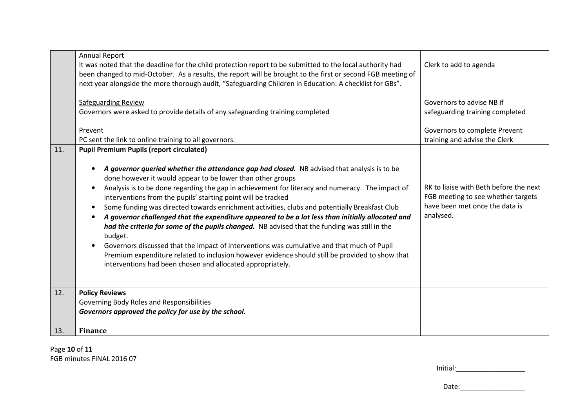|     | <b>Annual Report</b><br>It was noted that the deadline for the child protection report to be submitted to the local authority had<br>been changed to mid-October. As a results, the report will be brought to the first or second FGB meeting of<br>next year alongside the more thorough audit, "Safeguarding Children in Education: A checklist for GBs".                                                                                                                                                                                                                                                                                                                                                                                                                                                                                                                                                                                                                      | Clerk to add to agenda                                                                                                      |
|-----|----------------------------------------------------------------------------------------------------------------------------------------------------------------------------------------------------------------------------------------------------------------------------------------------------------------------------------------------------------------------------------------------------------------------------------------------------------------------------------------------------------------------------------------------------------------------------------------------------------------------------------------------------------------------------------------------------------------------------------------------------------------------------------------------------------------------------------------------------------------------------------------------------------------------------------------------------------------------------------|-----------------------------------------------------------------------------------------------------------------------------|
|     | <b>Safeguarding Review</b><br>Governors were asked to provide details of any safeguarding training completed                                                                                                                                                                                                                                                                                                                                                                                                                                                                                                                                                                                                                                                                                                                                                                                                                                                                     | Governors to advise NB if<br>safeguarding training completed                                                                |
|     | Prevent                                                                                                                                                                                                                                                                                                                                                                                                                                                                                                                                                                                                                                                                                                                                                                                                                                                                                                                                                                          | Governors to complete Prevent                                                                                               |
| 11. | PC sent the link to online training to all governors.<br><b>Pupil Premium Pupils (report circulated)</b>                                                                                                                                                                                                                                                                                                                                                                                                                                                                                                                                                                                                                                                                                                                                                                                                                                                                         | training and advise the Clerk                                                                                               |
|     | A governor queried whether the attendance gap had closed. NB advised that analysis is to be<br>$\bullet$<br>done however it would appear to be lower than other groups<br>Analysis is to be done regarding the gap in achievement for literacy and numeracy. The impact of<br>$\bullet$<br>interventions from the pupils' starting point will be tracked<br>Some funding was directed towards enrichment activities, clubs and potentially Breakfast Club<br>$\bullet$<br>A governor challenged that the expenditure appeared to be a lot less than initially allocated and<br>$\bullet$<br>had the criteria for some of the pupils changed. NB advised that the funding was still in the<br>budget.<br>Governors discussed that the impact of interventions was cumulative and that much of Pupil<br>$\bullet$<br>Premium expenditure related to inclusion however evidence should still be provided to show that<br>interventions had been chosen and allocated appropriately. | RK to liaise with Beth before the next<br>FGB meeting to see whether targets<br>have been met once the data is<br>analysed. |
| 12. | <b>Policy Reviews</b>                                                                                                                                                                                                                                                                                                                                                                                                                                                                                                                                                                                                                                                                                                                                                                                                                                                                                                                                                            |                                                                                                                             |
|     | Governing Body Roles and Responsibilities<br>Governors approved the policy for use by the school.                                                                                                                                                                                                                                                                                                                                                                                                                                                                                                                                                                                                                                                                                                                                                                                                                                                                                |                                                                                                                             |
| 13. | <b>Finance</b>                                                                                                                                                                                                                                                                                                                                                                                                                                                                                                                                                                                                                                                                                                                                                                                                                                                                                                                                                                   |                                                                                                                             |

Page **10** of **11**FGB minutes FINAL 2016 07

| Initial: |  |
|----------|--|
|----------|--|